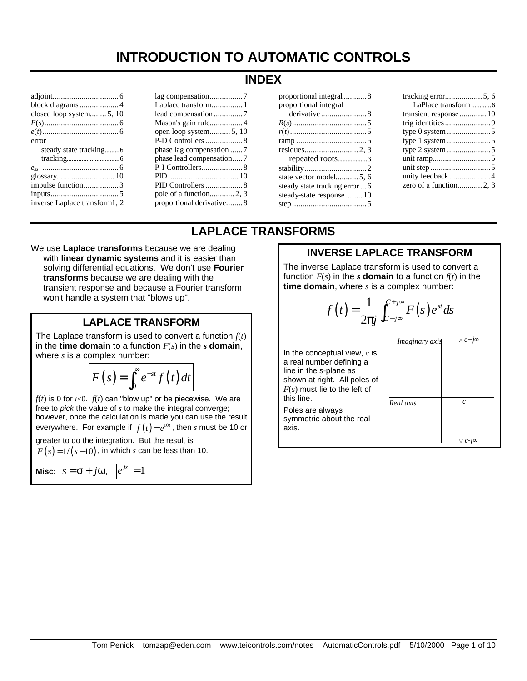# **INTRODUCTION TO AUTOMATIC CONTROLS**

| block diagrams4               |  |  |
|-------------------------------|--|--|
| closed loop system 5, 10      |  |  |
|                               |  |  |
|                               |  |  |
| error                         |  |  |
|                               |  |  |
|                               |  |  |
|                               |  |  |
|                               |  |  |
| impulse function3             |  |  |
|                               |  |  |
| inverse Laplace transform1, 2 |  |  |

| Laplace transform 1      |
|--------------------------|
| lead compensation 7      |
| Mason's gain rule 4      |
| open loop system 5, 10   |
| P-D Controllers  8       |
| phase lag compensation 7 |
|                          |
|                          |
|                          |
|                          |
| pole of a function2, 3   |
| proportional derivative8 |

| proportional integral          |  |  |  |
|--------------------------------|--|--|--|
|                                |  |  |  |
|                                |  |  |  |
|                                |  |  |  |
|                                |  |  |  |
|                                |  |  |  |
| repeated roots3                |  |  |  |
|                                |  |  |  |
| state vector model5, 6         |  |  |  |
| steady state tracking error  6 |  |  |  |
| steady-state response  10      |  |  |  |
|                                |  |  |  |

| LaPlace transform 6 |
|---------------------|
|                     |
|                     |
|                     |
|                     |
|                     |
|                     |
|                     |
| unity feedback4     |
|                     |

## **LAPLACE TRANSFORMS**

We use **Laplace transforms** because we are dealing with **linear dynamic systems** and it is easier than solving differential equations. We don't use **Fourier transforms** because we are dealing with the transient response and because a Fourier transform won't handle a system that "blows up".

## **LAPLACE TRANSFORM**

The Laplace transform is used to convert a function *f*(*t*) in the **time domain** to a function *F*(*s*) in the *s* **domain**, where *s* is a complex number:

$$
F(s) = \int_0^\infty e^{-st} f(t) dt
$$

 $f(t)$  is 0 for  $t<0$ .  $f(t)$  can "blow up" or be piecewise. We are free to *pick* the value of *s* to make the integral converge; however, once the calculation is made you can use the result everywhere. For example if  $f(t) = e^{10t}$ , then *s* must be 10 or greater to do the integration. But the result is

 $F(s) = 1/(s-10)$ , in which *s* can be less than 10.

$$
\text{Misc: } s = \sigma + j\omega, \ \left| e^{jx} \right| = 1
$$

## **INVERSE LAPLACE TRANSFORM**

The inverse Laplace transform is used to convert a function  $F(s)$  in the *s* **domain** to a function  $f(t)$  in the **time domain**, where *s* is a complex number:

$$
f(t) = \frac{1}{2\pi j} \int_{c-j\infty}^{c+j\infty} F(s) e^{st} ds
$$
  
In the conceptual view, *c* is  
a real number defining a  
line in the s-plane as  
shown at right. All poles of  
*F(s)* must lie to the left of  
this line.  
Poles are always  
symmetric about the real  
axis.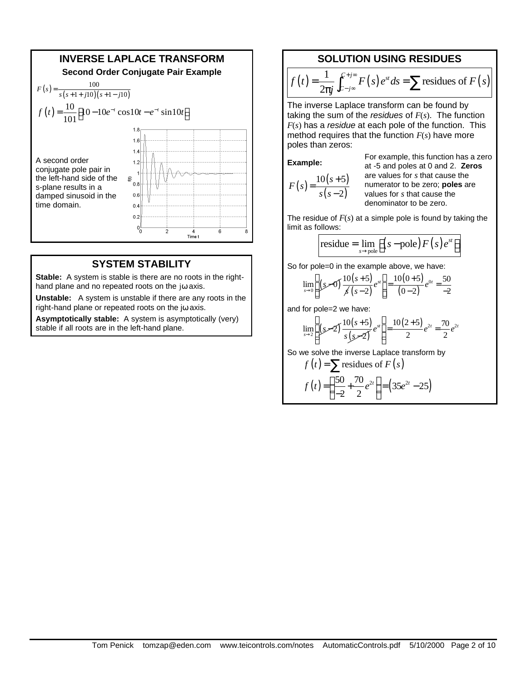

## **SYSTEM STABILITY**

**Stable:** A system is stable is there are no roots in the righthand plane and no repeated roots on the jω axis.

**Unstable:** A system is unstable if there are any roots in the right-hand plane or repeated roots on the jω axis.

**Asymptotically stable:** A system is asymptotically (very) stable if all roots are in the left-hand plane.

## **SOLUTION USING RESIDUES**

$$
f(t) = \frac{1}{2\pi j} \int_{C-j\infty}^{C+j\infty} F(s) e^{st} ds = \sum \text{residues of } F(s)
$$

The inverse Laplace transform can be found by taking the sum of the *residues* of *F*(*s*). The function *F*(*s*) has a *residue* at each pole of the function. This method requires that the function *F*(*s*) have more poles than zeros:

#### **Example:**

$$
F(s) = \frac{10(s+5)}{s(s-2)}
$$

For example, this function has a zero at -5 and poles at 0 and 2. **Zeros** are values for *s* that cause the numerator to be zero; **poles** are values for *s* that cause the denominator to be zero.

The residue of *F*(*s*) at a simple pole is found by taking the limit as follows:

$$
residue = \lim_{s \to pole} \left[ \left( s - pole \right) F \left( s \right) e^{st} \right]
$$

So for pole=0 in the example above, we have:

$$
\lim_{s \to 0} \left[ \int \left( \int \frac{10(s+5)}{s^2(s-2)} e^{st} \right) \right] = \frac{10(0+5)}{(0-2)} e^{0t} = \frac{50}{-2}
$$

and for pole=2 we have:

$$
\lim_{s \to 2} \left[ \int \left( \mathcal{S} - 2 \right) \frac{10(s+5)}{s \left( \mathcal{S} - 2 \right)} e^{st} \right] = \frac{10(2+5)}{2} e^{2t} = \frac{70}{2} e^{2t}
$$

So we solve the inverse Laplace transform by

$$
f(t) = \sum \text{residues of } F(s)
$$
  

$$
f(t) = \left(\frac{50}{-2} + \frac{70}{2}e^{2t}\right) = \left(35e^{2t} - 25\right)
$$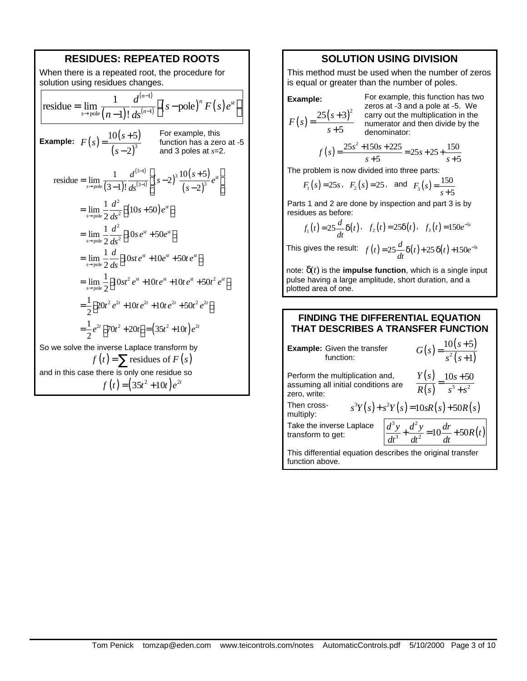

## **SOLUTION USING DIVISION**

This method must be used when the number of zeros is equal or greater than the number of poles.

Example:  

$$
F(s) = \frac{25(s+3)^2}{s+5}
$$

For example, this function has two zeros at -3 and a pole at -5. We carry out the multiplication in the numerator and then divide by the denominator:

$$
f(s) = \frac{25s^2 + 150s + 225}{s+5} = 25s + 25 + \frac{150}{s+5}
$$

The problem is now divided into three parts:

$$
F_1(s) = 25s
$$
,  $F_2(s) = 25$ , and  $F_3(s) = \frac{150}{s+5}$ 

Parts 1 and 2 are done by inspection and part 3 is by residues as before:

$$
f_1(t) = 25 \frac{d}{dt} \delta(t) \cdot f_2(t) = 25\delta(t) \cdot f_3(t) = 150e^{-5t}
$$

This gives the result:  $f(t) = 25 \frac{d}{dt} \delta(t) + 25 \delta(t) + 150 e^{-5t}$  $= 25\frac{u}{2}\delta(t) + 25\delta(t) + 150e^{-t}$ 

note:  $\delta(t)$  is the **impulse function**, which is a single input pulse having a large amplitude, short duration, and a plotted area of one.

### **FINDING THE DIFFERENTIAL EQUATION THAT DESCRIBES A TRANSFER FUNCTION**

| <b>Example:</b> Given the transfer<br>function:                                        | $G(s) = \frac{10(s+5)}{s^2(s+1)}$                                                  |  |  |
|----------------------------------------------------------------------------------------|------------------------------------------------------------------------------------|--|--|
| Perform the multiplication and,<br>assuming all initial conditions are<br>zero, write: | $\frac{Y(s)}{R(s)} = \frac{10s + 50}{s^3 + s^2}$                                   |  |  |
| Then cross-<br>$s^{3}Y(s) + s^{2}Y(s) = 10sR(s) + 50R(s)$<br>multiply:                 |                                                                                    |  |  |
| Take the inverse Laplace<br>transform to get:                                          | $\left  \frac{d^3y}{dt^3} + \frac{d^2y}{dt^2} \right  = 10 \frac{dr}{dt} + 50R(t)$ |  |  |
| This differential equation describes the original transfer<br>function above.          |                                                                                    |  |  |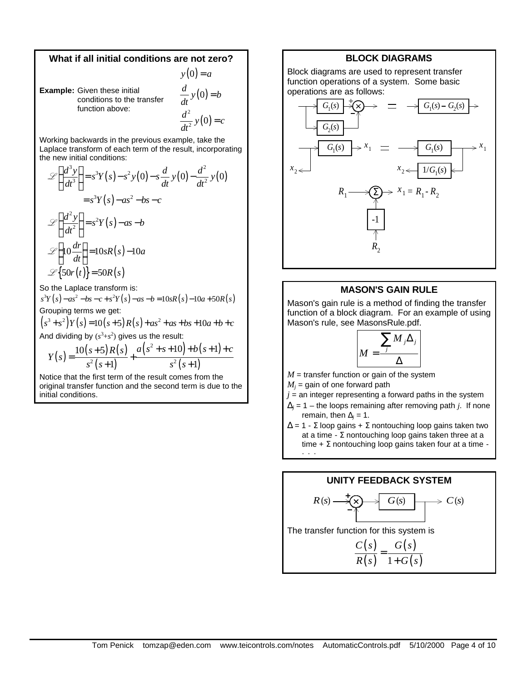## **What if all initial conditions are not zero?**

 $y(0) = a$  $\frac{d}{dx}y(0) = b$ 

**Example:** Given these initial conditions to the transfer function above:

*dt*  $(0)$ 2  $\frac{d^2}{dt^2}y(0) = c$ *dt* =

=

Working backwards in the previous example, take the Laplace transform of each term of the result, incorporating the new initial conditions:

$$
\mathcal{L}\left\{\frac{d^3y}{dt^3}\right\} = s^3Y(s) - s^2y(0) - s\frac{d}{dt}y(0) - \frac{d^2}{dt^2}y(0)
$$

$$
= s^3Y(s) - as^2 - bs - c
$$

$$
\mathcal{L}\left\{\frac{d^2y}{dt^2}\right\} = s^2Y(s) - as - b
$$

$$
\mathcal{L}\left\{10\frac{dr}{dt}\right\} = 10sR(s) - 10a
$$

$$
\mathcal{L}\left\{50r(t)\right\} = 50R(s)
$$

So the Laplace transform is:

 $s^{3}Y(s) - as^{2} - bs - c + s^{2}Y(s) - as - b = 10sR(s) - 10a + 50R(s)$ Grouping terms we get:  $(s^3 + s^2)Y(s) = 10(s+5)R(s) + as^2 + as + bs + 10a + b + c$ 

And dividing by  $(s^3 + s^2)$  gives us the result:

$$
Y(s) = \frac{10(s+5)R(s)}{s^2(s+1)} + \frac{a(s^2+s+10)+b(s+1)+c}{s^2(s+1)}
$$

Notice that the first term of the result comes from the original transfer function and the second term is due to the initial conditions.

### **BLOCK DIAGRAMS**

Block diagrams are used to represent transfer function operations of a system. Some basic operations are as follows:



## **MASON'S GAIN RULE**

Mason's gain rule is a method of finding the transfer function of a block diagram. For an example of using Mason's rule, see MasonsRule.pdf.



 $M =$  transfer function or gain of the system

 $M_j$  = gain of one forward path

- $j$  = an integer representing a forward paths in the system
- $\Delta_j$  = 1 the loops remaining after removing path *j*. If none remain, then  $\Delta_j = 1$ .
- $\Delta$  = 1 Σ loop gains + Σ nontouching loop gains taken two at a time -  $\Sigma$  nontouching loop gains taken three at a time +  $\Sigma$  nontouching loop gains taken four at a time -···

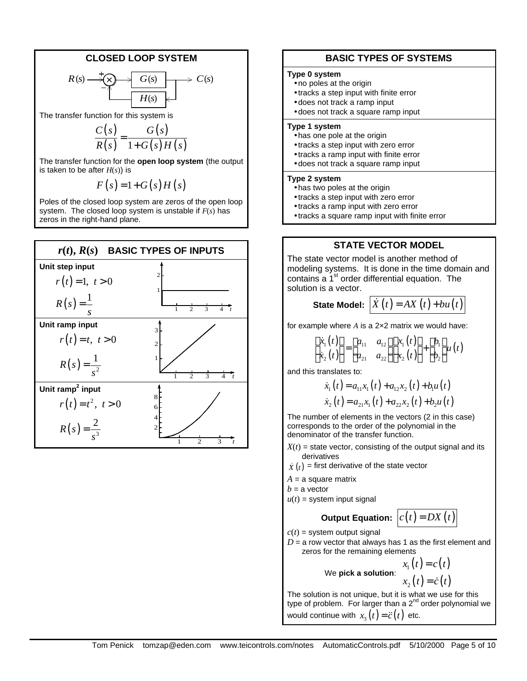## **CLOSED LOOP SYSTEM**

$$
R(s) \xrightarrow{\qquad \qquad +} \underbrace{G(s)} \xrightarrow{\qquad \qquad} C(s) \xrightarrow{\qquad \qquad} C(s)
$$

The transfer function for this system is

$$
\frac{C(s)}{R(s)} = \frac{G(s)}{1+G(s)H(s)}
$$

The transfer function for the **open loop system** (the output is taken to be after  $H(s)$ ) is

$$
F(s) = 1 + G(s)H(s)
$$

Poles of the closed loop system are zeros of the open loop system. The closed loop system is unstable if *F*(*s*) has zeros in the right-hand plane.



## **BASIC TYPES OF SYSTEMS**

### **Type 0 system**

- no poles at the origin
- tracks a step input with finite error
- does not track a ramp input
- does not track a square ramp input

#### **Type 1 system**

- has one pole at the origin
- tracks a step input with zero error
- tracks a ramp input with finite error
- does not track a square ramp input

#### **Type 2 system**

- has two poles at the origin
- tracks a step input with zero error
- tracks a ramp input with zero error
- tracks a square ramp input with finite error

## **STATE VECTOR MODEL**

The state vector model is another method of modeling systems. It is done in the time domain and contains a  $1<sup>st</sup>$  order differential equation. The solution is a vector.

# **State Model:**  $\dot{X}(t) = AX(t) + bu(t)$

for example where *A* is a 2×2 matrix we would have:

$$
\begin{bmatrix} \dot{x}_1(t) \\ \dot{x}_2(t) \end{bmatrix} = \begin{bmatrix} a_{11} & a_{12} \\ a_{21} & a_{22} \end{bmatrix} \begin{bmatrix} x_1(t) \\ x_2(t) \end{bmatrix} + \begin{bmatrix} b_1 \\ b_2 \end{bmatrix} u(t)
$$

and this translates to:

$$
\dot{x}_1(t) = a_{11}x_1(t) + a_{12}x_2(t) + b_1u(t)
$$
  

$$
\dot{x}_2(t) = a_{21}x_1(t) + a_{22}x_2(t) + b_2u(t)
$$

The number of elements in the vectors (2 in this case) corresponds to the order of the polynomial in the denominator of the transfer function.

- $X(t)$  = state vector, consisting of the output signal and its derivatives
- $\dot{X}\left( t\right) =% \hat{X}\left( t\right)$  first derivative of the state vector
- $A = a$  square matrix
- $b = a$  vector
- $u(t)$  = system input signal

## **Output Equation:**  $c(t) = DX(t)$

 $c(t)$  = system output signal

**We** 

 $D = a$  row vector that always has 1 as the first element and zeros for the remaining elements

\n
$$
x_1(t) = c(t)
$$
\n  
\n pick a solution: \n  $x_2(t) = \dot{c}(t)$ \n

The solution is not unique, but it is what we use for this type of problem. For larger than a  $2<sup>nd</sup>$  order polynomial we would continue with  $x_3(t) = \ddot{c}(t)$  etc.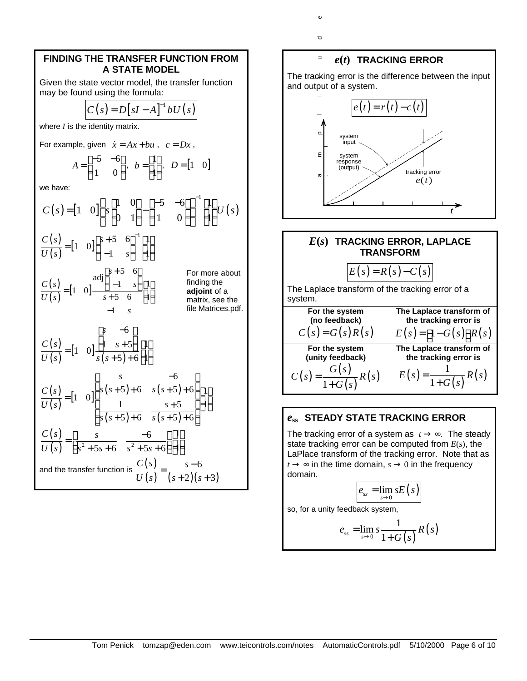## **FINDING THE TRANSFER FUNCTION FROM A STATE MODEL**

Given the state vector model, the transfer function may be found using the formula:

$$
C(s) = D[sI - A]^{-1} bU(s)
$$

where *I* is the identity matrix.

For example, given 
$$
\dot{x} = Ax + bu
$$
,  $c = Dx$ ,  

$$
A = \begin{bmatrix} -5 & -6 \\ 1 & 0 \end{bmatrix}, b = \begin{bmatrix} 1 \\ 1 \end{bmatrix}, D = \begin{bmatrix} 1 & 0 \end{bmatrix}
$$

we have:

$$
C(s) = \begin{bmatrix} 1 & 0 \end{bmatrix} \begin{Bmatrix} s & 1 & 0 \ 0 & 1 \end{Bmatrix} - \begin{bmatrix} -5 & -6 \ 1 & 0 \end{bmatrix} \begin{bmatrix} 1 \ 1 \end{bmatrix} U(s)
$$
  
\n
$$
\frac{C(s)}{U(s)} = \begin{bmatrix} 1 & 0 \end{bmatrix} \begin{bmatrix} s+5 & 6 \ -1 & s \end{bmatrix}^{-1} \begin{bmatrix} 1 \ 1 \end{bmatrix}
$$
  
\nFor more about  
\n
$$
\frac{C(s)}{U(s)} = \begin{bmatrix} 1 & 0 \end{bmatrix} \begin{bmatrix} s+5 & 6 \ -1 & s \end{bmatrix} \begin{bmatrix} 1 \ 1 \end{bmatrix}
$$
  
\nFor more about  
\n
$$
\frac{C(s)}{U(s)} = \begin{bmatrix} 1 & 0 \end{bmatrix} \begin{bmatrix} s & -6 \ 1 & s+5 \end{bmatrix} \begin{bmatrix} 1 \ 1 \end{bmatrix}
$$
  
\n
$$
\frac{C(s)}{U(s)} = \begin{bmatrix} 1 & 0 \end{bmatrix} \begin{bmatrix} s & -6 \ 1 & s+5 \end{bmatrix} \begin{bmatrix} 1 \ 1 \end{bmatrix}
$$
  
\n
$$
\frac{C(s)}{U(s)} = \begin{bmatrix} 1 & 0 \end{bmatrix} \begin{bmatrix} s & -6 \ s(s+5)+6 & s(s+5)+6 \ s(s+5)+6 \end{bmatrix} \begin{bmatrix} 1 \ 1 \end{bmatrix}
$$
  
\n
$$
\frac{C(s)}{U(s)} = \begin{bmatrix} s & -6 \ s^2 + 5s + 6 & s^2 + 5s + 6 \end{bmatrix} \begin{bmatrix} 1 \ 1 \end{bmatrix}
$$
  
\nand the transfer function is 
$$
\frac{C(s)}{U(s)} = \frac{s-6}{(s+2)(s+3)}
$$



### *e***ss STEADY STATE TRACKING ERROR**

The tracking error of a system as  $t \rightarrow \infty$ . The steady state tracking error can be computed from *E*(*s*), the LaPlace transform of the tracking error. Note that as  $t \rightarrow \infty$  in the time domain,  $s \rightarrow 0$  in the frequency domain.

$$
e_{ss}=\lim_{s\to 0} sE(s)
$$

so, for a unity feedback system,

$$
e_{ss} = \lim_{s \to 0} s \frac{1}{1 + G(s)} R(s)
$$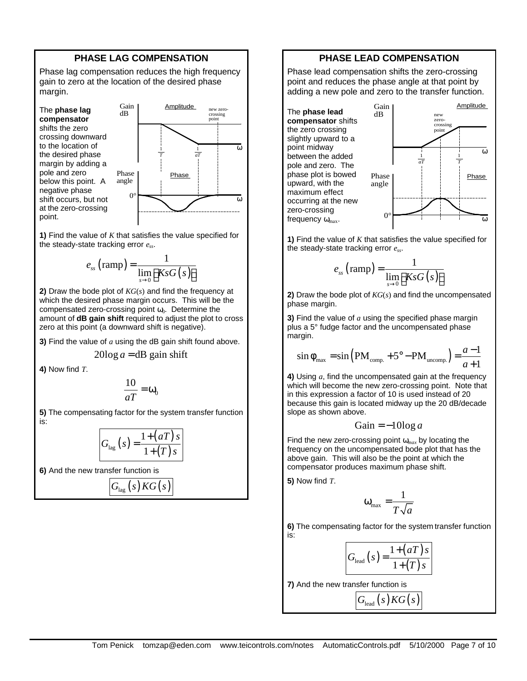## **PHASE LAG COMPENSATION**

Phase lag compensation reduces the high frequency gain to zero at the location of the desired phase margin.

The **phase lag compensator** shifts the zero crossing downward to the location of the desired phase margin by adding a pole and zero below this point. A negative phase shift occurs, but not at the zero-crossing point.



**1)** Find the value of *K* that satisfies the value specified for the steady-state tracking error *ess*.

$$
e_{ss} \left(\text{ramp}\right) = \frac{1}{\lim_{s \to 0} \left[KsG\left(s\right)\right]}
$$

**2)** Draw the bode plot of *KG*(*s*) and find the frequency at which the desired phase margin occurs. This will be the compensated zero-crossing point  $\omega_0$ . Determine the amount of **dB gain shift** required to adjust the plot to cross zero at this point (a downward shift is negative).

**3)** Find the value of *a* using the dB gain shift found above.

 $20\log a = dB$  gain shift

**4)** Now find *T*.

$$
\frac{10}{aT} = \omega_0
$$

**5)** The compensating factor for the system transfer function is:

$$
G_{\text{lag}}(s) = \frac{1 + (aT)s}{1 + (T)s}
$$

**6)** And the new transfer function is

$$
G_{\text{lag}}(s)KG(s)
$$

## **PHASE LEAD COMPENSATION**

Phase lead compensation shifts the zero-crossing point and reduces the phase angle at that point by adding a new pole and zero to the transfer function.





**1)** Find the value of *K* that satisfies the value specified for the steady-state tracking error *ess*.

$$
e_{ss} \left(\text{ramp}\right) = \frac{1}{\lim_{s \to 0} \left[KsG\left(s\right)\right]}
$$

**2)** Draw the bode plot of *KG*(*s*) and find the uncompensated phase margin.

**3)** Find the value of *a* using the specified phase margin plus a 5° fudge factor and the uncompensated phase margin.

$$
\sin \phi_{\text{max}} = \sin \left( \text{PM}_{\text{comp.}} + 5^{\circ} - \text{PM}_{\text{uncomp.}} \right) = \frac{a-1}{a+1}
$$

**4)** Using *a*, find the uncompensated gain at the frequency which will become the new zero-crossing point. Note that in this expression a factor of 10 is used instead of 20 because this gain is located midway up the 20 dB/decade slope as shown above.

$$
Gain = -10\log a
$$

Find the new zero-crossing point ω*max* by locating the frequency on the uncompensated bode plot that has the above gain. This will also be the point at which the compensator produces maximum phase shift.

**5)** Now find *T*.

$$
\omega_{\text{max}} = \frac{1}{T\sqrt{a}}
$$

**6)** The compensating factor for the system transfer function is:

$$
G_{\text{lead}}(s) = \frac{1 + (aT)s}{1 + (T)s}
$$

**7)** And the new transfer function is

$$
G_{\text{lead}}(s)\text{KG}(s)
$$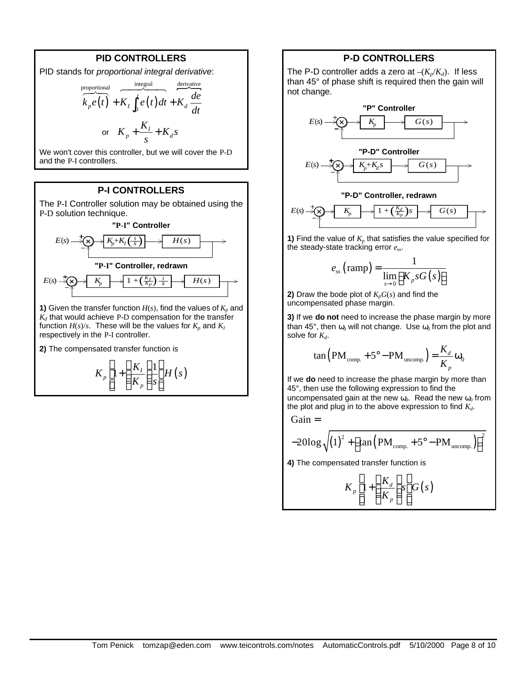## **PID CONTROLLERS**

PID stands for proportional integral derivative:  
\n
$$
\overbrace{K_p e(t)}^{\text{proportional}} + \overbrace{K_I \int_0^t e(t) dt}^{\text{integral}} + \overbrace{K_d \frac{de}{dt}}
$$
\nor 
$$
\overbrace{K_p + \frac{K_I}{s}}^{\text{OPT}} + \overbrace{K_d s}^{\text{OPT}}
$$

We won't cover this controller, but we will cover the P-D and the P-I controllers.

## **P-I CONTROLLERS**

The P-I Controller solution may be obtained using the P-D solution technique.



**1)** Given the transfer function  $H(s)$ , find the values of  $K_p$  and *Kd* that would achieve P-D compensation for the transfer function  $H(s)/s$ . These will be the values for  $K_p$  and  $K_I$ respectively in the P-I controller.

**2)** The compensated transfer function is

 $(s)$  $\frac{1}{p}$  1+  $\frac{K_I}{K_I}$   $\frac{11}{I_I}$ *p*  $K_n\left[1+\frac{K_i}{K}\right]\stackrel{1}{\leftarrow}H(s)$  $\left[1+\left(\frac{K_I}{K_p}\right)\frac{1}{s}\right]$ 

#### **P-D CONTROLLERS**

The P-D controller adds a zero at  $-(K_p/K_d)$ . If less than 45° of phase shift is required then the gain will not change.



**1)** Find the value of *Kp* that satisfies the value specified for the steady-state tracking error *ess*.

$$
e_{ss} \left(\text{ramp}\right) = \frac{1}{\lim_{s \to 0} \left[K_p s G\left(s\right)\right]}
$$

**2)** Draw the bode plot of  $K_pG(s)$  and find the uncompensated phase margin.

**3)** If we **do not** need to increase the phase margin by more than 45°, then  $\omega_0$  will not change. Use  $\omega_0$  from the plot and solve for  $K_d$ .

$$
\tan\left(\text{PM}_{\text{comp.}} + 5^{\circ} - \text{PM}_{\text{uncomp.}}\right) = \frac{K_d}{K_p} \omega_0
$$

If we **do** need to increase the phase margin by more than 45°, then use the following expression to find the uncompensated gain at the new  $\omega_0$ . Read the new  $\omega_0$  from the plot and plug in to the above expression to find *Kd*.

Gain =

$$
-20\log\sqrt{\left(1\right)^{2}+\left[\tan\left(PM_{\text{comp.}}+5^{\circ}-PM_{\text{uncomp.}}\right)\right]^{2}}
$$

**4)** The compensated transfer function is

$$
K_p\left[1+\left(\frac{K_d}{K_p}\right)s\right]G(s)
$$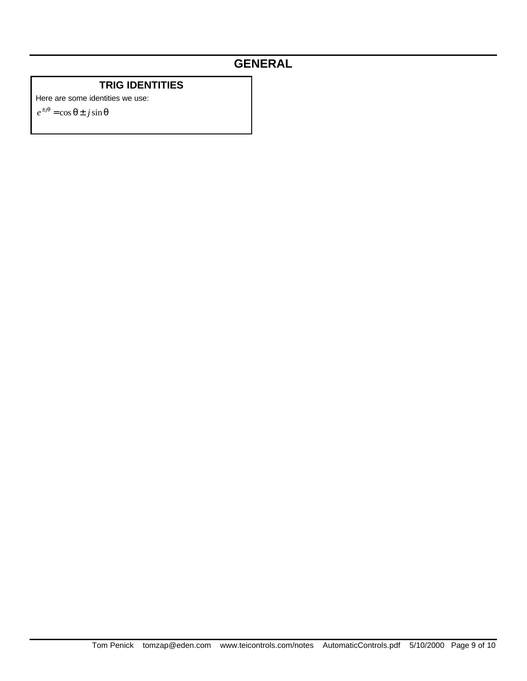## **GENERAL**

## **TRIG IDENTITIES**

Here are some identities we use:

 $e^{\pm j\theta} = \cos \theta \pm j \sin \theta$